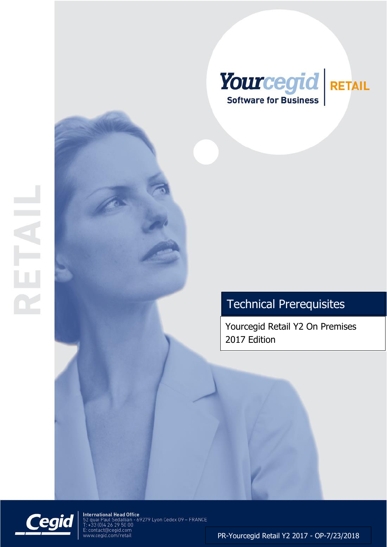

Yourcegid Retail Y2 On Premises 2017 Edition



**International Head Office**<br>52 quai Paul Sédallian - 69279 Lyon Cedex 09 – FRANCE<br>T: +33 (0)4 26 29 50 00<br>E: contact@cegid.com<br>www.cegid.com/retail

PR-Yourcegid Retail Y2 2017 - OP-7/23/2018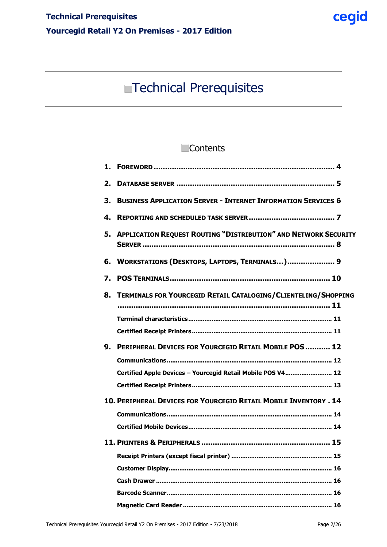# **Contents**

| 1.                                                                                                                                 |  |
|------------------------------------------------------------------------------------------------------------------------------------|--|
| 2.                                                                                                                                 |  |
| <b>BUSINESS APPLICATION SERVER - INTERNET INFORMATION SERVICES 6</b><br>3.                                                         |  |
| 4.                                                                                                                                 |  |
| 5. APPLICATION REQUEST ROUTING "DISTRIBUTION" AND NETWORK SECURITY                                                                 |  |
| 6. WORKSTATIONS (DESKTOPS, LAPTOPS, TERMINALS) 9                                                                                   |  |
| 7.                                                                                                                                 |  |
| 8. TERMINALS FOR YOURCEGID RETAIL CATALOGING/CLIENTELING/SHOPPING                                                                  |  |
| <b>PERIPHERAL DEVICES FOR YOURCEGID RETAIL MOBILE POS  12</b><br>9.<br>Certified Apple Devices - Yourcegid Retail Mobile POS V4 12 |  |
| 10. PERIPHERAL DEVICES FOR YOURCEGID RETAIL MOBILE INVENTORY . 14                                                                  |  |
|                                                                                                                                    |  |
| Receipt Printers (except fiscal printer) ………………………………………………… 15                                                                    |  |
|                                                                                                                                    |  |
|                                                                                                                                    |  |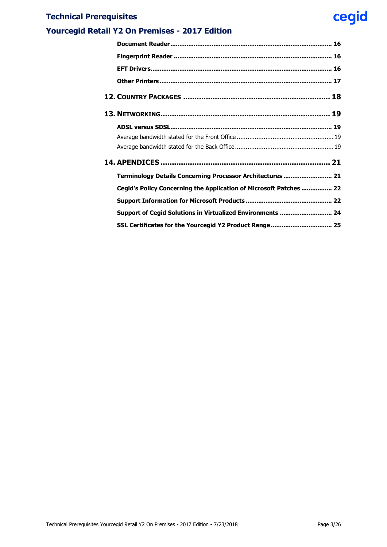# **Yourcegid Retail Y2 On Premises - 2017 Edition**

| Terminology Details Concerning Processor Architectures  21         |
|--------------------------------------------------------------------|
| Cegid's Policy Concerning the Application of Microsoft Patches  22 |
|                                                                    |
| Support of Cegid Solutions in Virtualized Environments  24         |
| SSL Certificates for the Yourcegid Y2 Product Range 25             |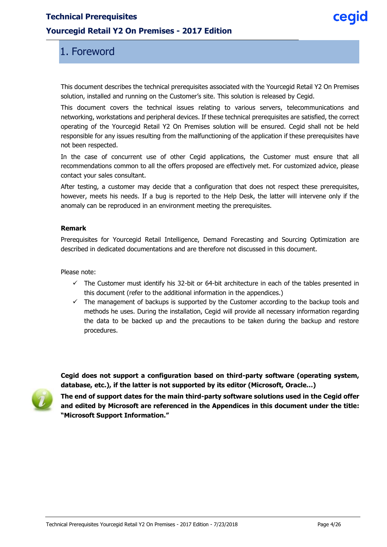### <span id="page-3-0"></span>**Yourcegid Retail Y2 On Premises - 2017 Edition**

# 1. Foreword

This document describes the technical prerequisites associated with the Yourcegid Retail Y2 On Premises solution, installed and running on the Customer's site. This solution is released by Cegid.

This document covers the technical issues relating to various servers, telecommunications and networking, workstations and peripheral devices. If these technical prerequisites are satisfied, the correct operating of the Yourcegid Retail Y2 On Premises solution will be ensured. Cegid shall not be held responsible for any issues resulting from the malfunctioning of the application if these prerequisites have not been respected.

In the case of concurrent use of other Cegid applications, the Customer must ensure that all recommendations common to all the offers proposed are effectively met. For customized advice, please contact your sales consultant.

After testing, a customer may decide that a configuration that does not respect these prerequisites, however, meets his needs. If a bug is reported to the Help Desk, the latter will intervene only if the anomaly can be reproduced in an environment meeting the prerequisites.

#### **Remark**

Prerequisites for Yourcegid Retail Intelligence, Demand Forecasting and Sourcing Optimization are described in dedicated documentations and are therefore not discussed in this document.

Please note:

- $\checkmark$  The Customer must identify his 32-bit or 64-bit architecture in each of the tables presented in this document (refer to the additional information in the appendices.)
- $\checkmark$  The management of backups is supported by the Customer according to the backup tools and methods he uses. During the installation, Cegid will provide all necessary information regarding the data to be backed up and the precautions to be taken during the backup and restore procedures.



**database, etc.), if the latter is not supported by its editor (Microsoft, Oracle…) The end of support dates for the main third-party software solutions used in the Cegid offer and edited by Microsoft are referenced in the Appendices in this document under the title: "Microsoft Support Information."**

**Cegid does not support a configuration based on third-party software (operating system,**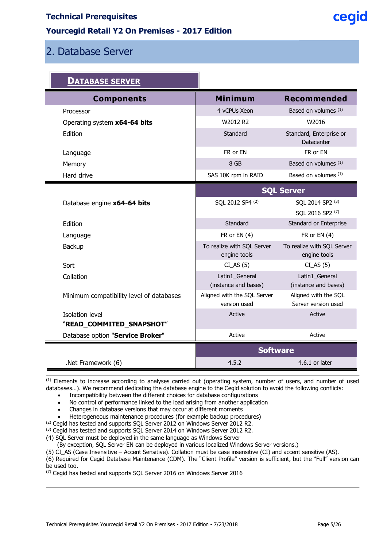### **Yourcegid Retail Y2 On Premises - 2017 Edition**

# <span id="page-4-0"></span>2. Database Server

F

| <u>DATABASE SERVER</u>                   |                                             |                                             |  |
|------------------------------------------|---------------------------------------------|---------------------------------------------|--|
| <b>Components</b>                        | <b>Minimum</b>                              | <b>Recommended</b>                          |  |
| Processor                                | 4 vCPUs Xeon                                | Based on volumes (1)                        |  |
| Operating system x64-64 bits             | W2012 R2                                    | W2016                                       |  |
| Edition                                  | Standard                                    | Standard, Enterprise or<br>Datacenter       |  |
| Language                                 | FR or EN                                    | FR or EN                                    |  |
| Memory                                   | 8 GB                                        | Based on volumes (1)                        |  |
| Hard drive                               | SAS 10K rpm in RAID                         | Based on volumes (1)                        |  |
|                                          | <b>SQL Server</b>                           |                                             |  |
| Database engine x64-64 bits              | SQL 2012 SP4 (2)                            | SQL 2014 SP2 (3)                            |  |
|                                          |                                             | SQL 2016 SP2 (7)                            |  |
| Edition                                  | Standard                                    | Standard or Enterprise                      |  |
| Language                                 | FR or $EN(4)$                               | FR or $EN(4)$                               |  |
| Backup                                   | To realize with SQL Server<br>engine tools  | To realize with SQL Server<br>engine tools  |  |
| Sort                                     | $CI\_AS(5)$                                 | $CI\_AS(5)$                                 |  |
| Collation                                | Latin1_General<br>(instance and bases)      | Latin1_General<br>(instance and bases)      |  |
| Minimum compatibility level of databases | Aligned with the SQL Server<br>version used | Aligned with the SQL<br>Server version used |  |
| <b>Isolation level</b>                   | Active                                      | Active                                      |  |
| "READ_COMMITED_SNAPSHOT"                 |                                             |                                             |  |
| Database option "Service Broker"         | Active                                      | Active                                      |  |
|                                          | <b>Software</b>                             |                                             |  |
| .Net Framework (6)                       | 4.5.2                                       | $4.6.1$ or later                            |  |

(1) Elements to increase according to analyses carried out (operating system, number of users, and number of used databases…). We recommend dedicating the database engine to the Cegid solution to avoid the following conflicts:

Incompatibility between the different choices for database configurations

- No control of performance linked to the load arising from another application
- Changes in database versions that may occur at different moments
- Heterogeneous maintenance procedures (for example backup procedures)
- (2) Cegid has tested and supports SQL Server 2012 on Windows Server 2012 R2.

(3) Cegid has tested and supports SQL Server 2014 on Windows Server 2012 R2.

(4) SQL Server must be deployed in the same language as Windows Server

(By exception, SQL Server EN can be deployed in various localized Windows Server versions.)

(5) CI\_AS (Case Insensitive – Accent Sensitive). Collation must be case insensitive (CI) and accent sensitive (AS).

(6) Required for Cegid Database Maintenance (CDM). The "Client Profile" version is sufficient, but the "Full" version can be used too.

(7) Cegid has tested and supports SQL Server 2016 on Windows Server 2016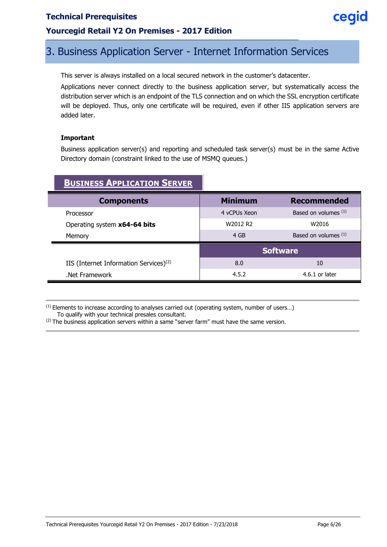### **Yourcegid Retail Y2 On Premises - 2017 Edition**

# <span id="page-5-0"></span>3. Business Application Server - Internet Information Services

This server is always installed on a local secured network in the customer's datacenter.

Applications never connect directly to the business application server, but systematically access the distribution server which is an endpoint of the TLS connection and on which the SSL encryption certificate will be deployed. Thus, only one certificate will be required, even if other IIS application servers are added later.

#### **Important**

Business application server(s) and reporting and scheduled task server(s) must be in the same Active Directory domain (constraint linked to the use of MSMQ queues.)

| <b>BUSINESS APPLICATION SERVER</b>                 |                 |                        |
|----------------------------------------------------|-----------------|------------------------|
| <b>Components</b>                                  | <b>Minimum</b>  | <b>Recommended</b>     |
| Processor                                          | 4 vCPUs Xeon    | Based on volumes $(1)$ |
| Operating system x64-64 bits                       | W2012 R2        | W2016                  |
| Memory                                             | 4 GB            | Based on volumes (1)   |
|                                                    | <b>Software</b> |                        |
| IIS (Internet Information Services) <sup>(2)</sup> | 8.0             | 10                     |
| Net Framework.                                     | 4.5.2           | $4.6.1$ or later       |

 $<sup>(1)</sup>$  Elements to increase according to analyses carried out (operating system, number of users...)</sup> To qualify with your technical presales consultant.

 $(2)$  The business application servers within a same "server farm" must have the same version.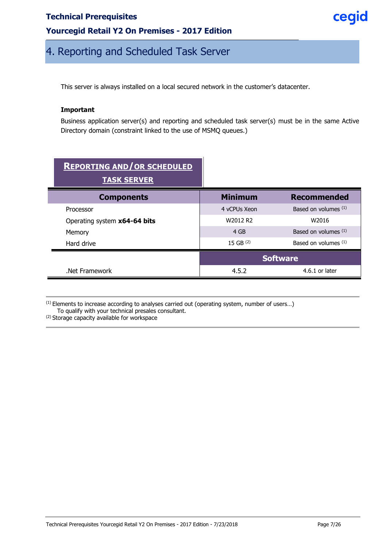### **Yourcegid Retail Y2 On Premises - 2017 Edition**

# cegid

# <span id="page-6-0"></span>4. Reporting and Scheduled Task Server

This server is always installed on a local secured network in the customer's datacenter.

#### **Important**

Business application server(s) and reporting and scheduled task server(s) must be in the same Active Directory domain (constraint linked to the use of MSMQ queues.)

| <b>REPORTING AND/OR SCHEDULED</b><br><b>TASK SERVER</b> |                 |                        |
|---------------------------------------------------------|-----------------|------------------------|
| <b>Components</b>                                       | <b>Minimum</b>  | <b>Recommended</b>     |
| Processor                                               | 4 vCPUs Xeon    | Based on volumes $(1)$ |
| Operating system x64-64 bits                            | W2012 R2        | W2016                  |
| Memory                                                  | 4 GB            | Based on volumes $(1)$ |
| Hard drive                                              | 15 GB $(2)$     | Based on volumes $(1)$ |
|                                                         | <b>Software</b> |                        |
| Net Framework.                                          | 4.5.2           | $4.6.1$ or later       |

 $<sup>(1)</sup>$  Elements to increase according to analyses carried out (operating system, number of users...)</sup> To qualify with your technical presales consultant.

<sup>(2)</sup> Storage capacity available for workspace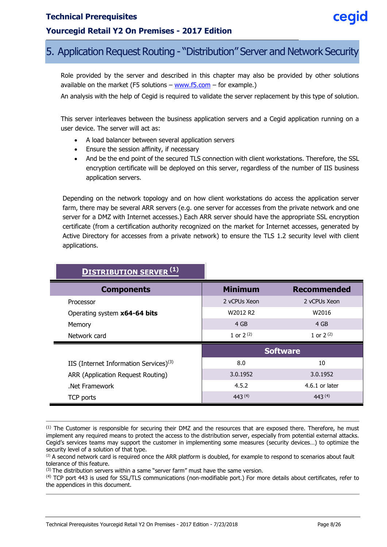### **Yourcegid Retail Y2 On Premises - 2017 Edition**

# <span id="page-7-0"></span>5. Application Request Routing - "Distribution" Server and Network Security

Role provided by the server and described in this chapter may also be provided by other solutions available on the market (F5 solutions – [www.f5.com](http://www.f5.com/) – for example.)

An analysis with the help of Cegid is required to validate the server replacement by this type of solution.

This server interleaves between the business application servers and a Cegid application running on a user device. The server will act as:

- A load balancer between several application servers
- Ensure the session affinity, if necessary
- And be the end point of the secured TLS connection with client workstations. Therefore, the SSL encryption certificate will be deployed on this server, regardless of the number of IIS business application servers.

Depending on the network topology and on how client workstations do access the application server farm, there may be several ARR servers (e.g. one server for accesses from the private network and one server for a DMZ with Internet accesses.) Each ARR server should have the appropriate SSL encryption certificate (from a certification authority recognized on the market for Internet accesses, generated by Active Directory for accesses from a private network) to ensure the TLS 1.2 security level with client applications.

| <b>DISTRIBUTION SERVER<sup>(1)</sup></b>           |                 |                    |
|----------------------------------------------------|-----------------|--------------------|
| <b>Components</b>                                  | <b>Minimum</b>  | <b>Recommended</b> |
| Processor                                          | 2 vCPUs Xeon    | 2 vCPUs Xeon       |
| Operating system x64-64 bits                       | W2012 R2        | W2016              |
| Memory                                             | 4 GB            | 4 GB               |
| Network card                                       | 1 or $2^{(2)}$  | 1 or $2^{(2)}$     |
|                                                    | <b>Software</b> |                    |
| IIS (Internet Information Services) <sup>(3)</sup> | 8.0             | 10                 |
| ARR (Application Request Routing)                  | 3.0.1952        | 3.0.1952           |
| Net Framework                                      | 4.5.2           | $4.6.1$ or later   |
| TCP ports                                          | 443(4)          | 443(4)             |

 $<sup>(1)</sup>$  The Customer is responsible for securing their DMZ and the resources that are exposed there. Therefore, he must</sup> implement any required means to protect the access to the distribution server, especially from potential external attacks. Cegid's services teams may support the customer in implementing some measures (security devices…) to optimize the

(4) TCP port 443 is used for SSL/TLS communications (non-modifiable port.) For more details about certificates, refer to the appendices in this document.

ceaid

security level of a solution of that type. (2) A second network card is required once the ARR platform is doubled, for example to respond to scenarios about fault tolerance of this feature.

 $(3)$  The distribution servers within a same "server farm" must have the same version.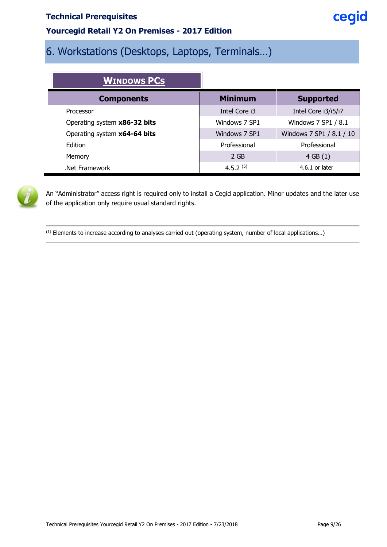### **Yourcegid Retail Y2 On Premises - 2017 Edition**

# <span id="page-8-0"></span>6. Workstations (Desktops, Laptops, Terminals…)

| <b>WINDOWS PCS</b>           |                |                          |
|------------------------------|----------------|--------------------------|
| <b>Components</b>            | <b>Minimum</b> | <b>Supported</b>         |
| Processor                    | Intel Core i3  | Intel Core i3/i5/i7      |
| Operating system x86-32 bits | Windows 7 SP1  | Windows 7 SP1 / 8.1      |
| Operating system x64-64 bits | Windows 7 SP1  | Windows 7 SP1 / 8.1 / 10 |
| Edition                      | Professional   | Professional             |
| Memory                       | 2 GB           | 4 GB(1)                  |
| Net Framework.               | $4.5.2^{(5)}$  | $4.6.1$ or later         |



An "Administrator" access right is required only to install a Cegid application. Minor updates and the later use of the application only require usual standard rights.

(1) Elements to increase according to analyses carried out (operating system, number of local applications…)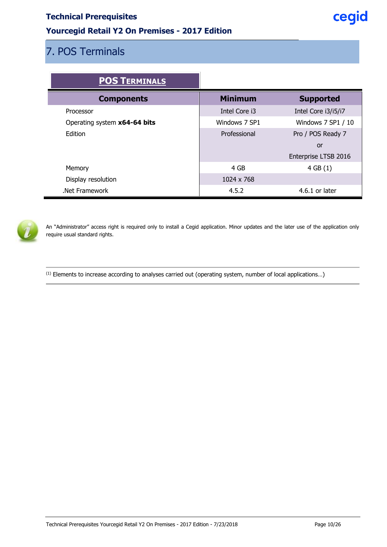# **Yourcegid Retail Y2 On Premises - 2017 Edition**

# <span id="page-9-0"></span>7. POS Terminals

| <b>POS TERMINALS</b>         |                |                      |
|------------------------------|----------------|----------------------|
| <b>Components</b>            | <b>Minimum</b> | <b>Supported</b>     |
| Processor                    | Intel Core i3  | Intel Core i3/i5/i7  |
| Operating system x64-64 bits | Windows 7 SP1  | Windows 7 SP1 / 10   |
| Edition                      | Professional   | Pro / POS Ready 7    |
|                              |                | or                   |
|                              |                | Enterprise LTSB 2016 |
| Memory                       | 4 GB           | 4 GB(1)              |
| Display resolution           | 1024 x 768     |                      |
| Net Framework                | 4.5.2          | $4.6.1$ or later     |



An "Administrator" access right is required only to install a Cegid application. Minor updates and the later use of the application only require usual standard rights.

(1) Elements to increase according to analyses carried out (operating system, number of local applications…)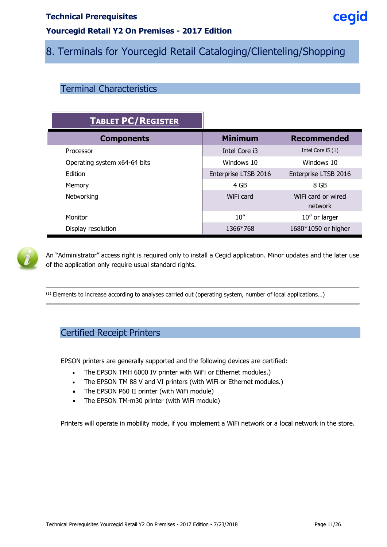# **Yourcegid Retail Y2 On Premises - 2017 Edition**

# <span id="page-10-0"></span>8. Terminals for Yourcegid Retail Cataloging/Clienteling/Shopping

# <span id="page-10-1"></span>Terminal Characteristics

| <b>TABLET PC/REGISTER</b>    |                      |                               |
|------------------------------|----------------------|-------------------------------|
| <b>Components</b>            | <b>Minimum</b>       | <b>Recommended</b>            |
| Processor                    | Intel Core i3        | Intel Core $i5(1)$            |
| Operating system x64-64 bits | Windows 10           | Windows 10                    |
| Edition                      | Enterprise LTSB 2016 | Enterprise LTSB 2016          |
| Memory                       | 4 GB                 | 8 GB                          |
| Networking                   | WiFi card            | WiFi card or wired<br>network |
| Monitor                      | 10''                 | 10" or larger                 |
| Display resolution           | 1366*768             | 1680*1050 or higher           |



An "Administrator" access right is required only to install a Cegid application. Minor updates and the later use of the application only require usual standard rights.

<span id="page-10-2"></span>(1) Elements to increase according to analyses carried out (operating system, number of local applications…)

# Certified Receipt Printers

EPSON printers are generally supported and the following devices are certified:

- The EPSON TMH 6000 IV printer with WiFi or Ethernet modules.)
- The EPSON TM 88 V and VI printers (with WiFi or Ethernet modules.)
- The EPSON P60 II printer (with WiFi module)
- The EPSON TM-m30 printer (with WiFi module)

Printers will operate in mobility mode, if you implement a WiFi network or a local network in the store.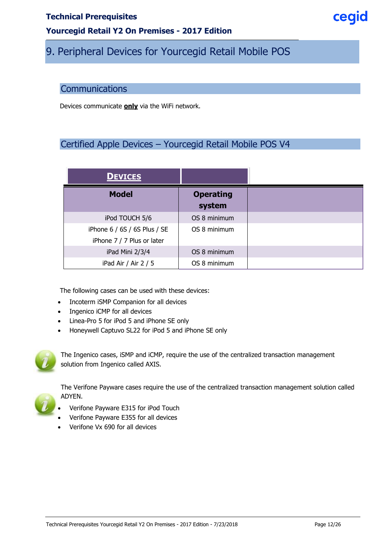### **Yourcegid Retail Y2 On Premises - 2017 Edition**

# <span id="page-11-0"></span>9. Peripheral Devices for Yourcegid Retail Mobile POS

#### <span id="page-11-1"></span>**Communications**

<span id="page-11-2"></span>Devices communicate **only** via the WiFi network.

# Certified Apple Devices – Yourcegid Retail Mobile POS V4

| <b>DEVICES</b>               |                            |
|------------------------------|----------------------------|
| <b>Model</b>                 | <b>Operating</b><br>system |
| iPod TOUCH 5/6               | OS 8 minimum               |
| iPhone 6 / 6S / 6S Plus / SE | OS 8 minimum               |
| iPhone 7 / 7 Plus or later   |                            |
| iPad Mini 2/3/4              | OS 8 minimum               |
| iPad Air / Air 2 / 5         | OS 8 minimum               |

The following cases can be used with these devices:

- Incoterm iSMP Companion for all devices
- Ingenico iCMP for all devices
- Linea-Pro 5 for iPod 5 and iPhone SE only
- Honeywell Captuvo SL22 for iPod 5 and iPhone SE only



The Ingenico cases, iSMP and iCMP, require the use of the centralized transaction management solution from Ingenico called AXIS.



The Verifone Payware cases require the use of the centralized transaction management solution called ADYEN.

- Verifone Payware E315 for iPod Touch
- Verifone Payware E355 for all devices
- Verifone Vx 690 for all devices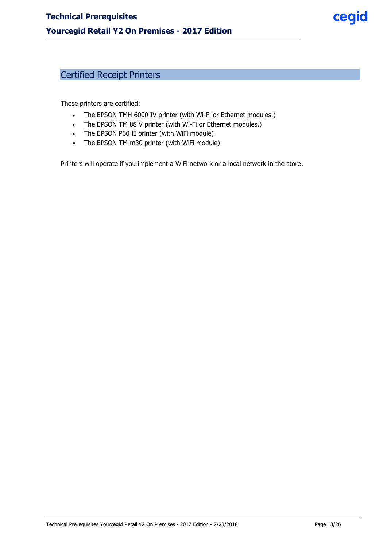# <span id="page-12-0"></span>Certified Receipt Printers

These printers are certified:

- The EPSON TMH 6000 IV printer (with Wi-Fi or Ethernet modules.)
- The EPSON TM 88 V printer (with Wi-Fi or Ethernet modules.)
- The EPSON P60 II printer (with WiFi module)
- The EPSON TM-m30 printer (with WiFi module)

Printers will operate if you implement a WiFi network or a local network in the store.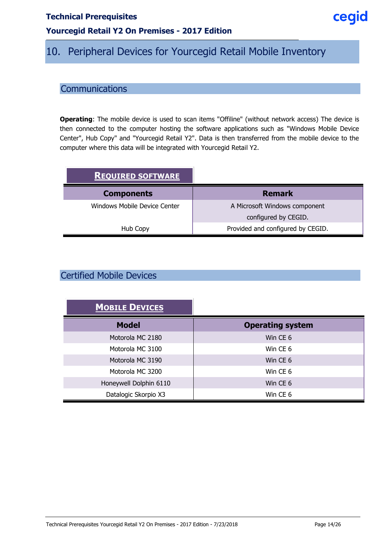# **Yourcegid Retail Y2 On Premises - 2017 Edition**

# <span id="page-13-0"></span>10. Peripheral Devices for Yourcegid Retail Mobile Inventory

# <span id="page-13-1"></span>**Communications**

**Operating**: The mobile device is used to scan items "Offiline" (without network access) The device is then connected to the computer hosting the software applications such as "Windows Mobile Device Center", Hub Copy" and "Yourcegid Retail Y2". Data is then transferred from the mobile device to the computer where this data will be integrated with Yourcegid Retail Y2.

| <b>REQUIRED SOFTWARE</b>     |                                   |
|------------------------------|-----------------------------------|
| <b>Components</b>            | <b>Remark</b>                     |
| Windows Mobile Device Center | A Microsoft Windows component     |
|                              | configured by CEGID.              |
| Hub Copy                     | Provided and configured by CEGID. |

# <span id="page-13-2"></span>Certified Mobile Devices

| <b>MOBILE DEVICES</b>  |                         |
|------------------------|-------------------------|
| <b>Model</b>           | <b>Operating system</b> |
| Motorola MC 2180       | Win CE 6                |
| Motorola MC 3100       | Win CE 6                |
| Motorola MC 3190       | Win CE 6                |
| Motorola MC 3200       | Win CE 6                |
| Honeywell Dolphin 6110 | Win CE 6                |
| Datalogic Skorpio X3   | Win CE 6                |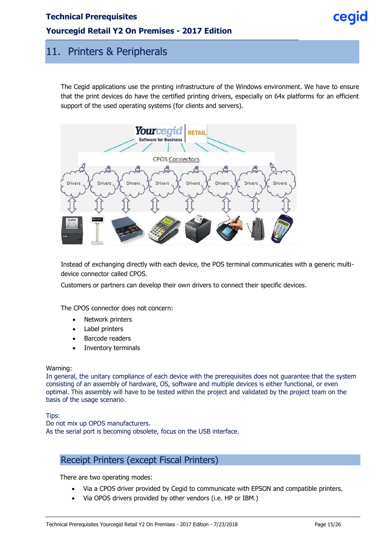#### **Yourcegid Retail Y2 On Premises - 2017 Edition**

# <span id="page-14-0"></span>11. Printers & Peripherals

The Cegid applications use the printing infrastructure of the Windows environment. We have to ensure that the print devices do have the certified printing drivers, especially on 64x platforms for an efficient support of the used operating systems (for clients and servers).



Instead of exchanging directly with each device, the POS terminal communicates with a generic multidevice connector called CPOS.

Customers or partners can develop their own drivers to connect their specific devices.

The CPOS connector does not concern:

- Network printers
- Label printers
- Barcode readers
- Inventory terminals

#### Warning:

In general, the unitary compliance of each device with the prerequisites does not guarantee that the system consisting of an assembly of hardware, OS, software and multiple devices is either functional, or even optimal. This assembly will have to be tested within the project and validated by the project team on the basis of the usage scenario.

Tips:

<span id="page-14-1"></span>Do not mix up OPOS manufacturers. As the serial port is becoming obsolete, focus on the USB interface.

#### Receipt Printers (except Fiscal Printers)

There are two operating modes:

- Via a CPOS driver provided by Cegid to communicate with EPSON and compatible printers.
- Via OPOS drivers provided by other vendors (i.e. HP or IBM.)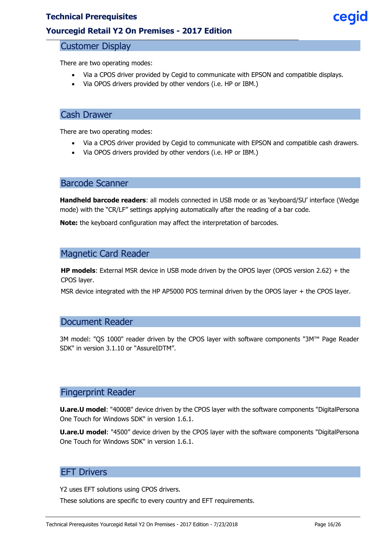### <span id="page-15-0"></span>**Yourcegid Retail Y2 On Premises - 2017 Edition**

#### Customer Display

There are two operating modes:

- Via a CPOS driver provided by Cegid to communicate with EPSON and compatible displays.
- Via OPOS drivers provided by other vendors (i.e. HP or IBM.)

### <span id="page-15-1"></span>Cash Drawer

There are two operating modes:

- Via a CPOS driver provided by Cegid to communicate with EPSON and compatible cash drawers.
- Via OPOS drivers provided by other vendors (i.e. HP or IBM.)

### <span id="page-15-2"></span>Barcode Scanner

**Handheld barcode readers**: all models connected in USB mode or as 'keyboard/SU' interface (Wedge mode) with the "CR/LF" settings applying automatically after the reading of a bar code.

<span id="page-15-3"></span>**Note:** the keyboard configuration may affect the interpretation of barcodes.

# Magnetic Card Reader

**HP models**: External MSR device in USB mode driven by the OPOS layer (OPOS version 2.62) + the CPOS layer.

<span id="page-15-4"></span>MSR device integrated with the HP AP5000 POS terminal driven by the OPOS layer + the CPOS layer.

#### Document Reader

3M model: "QS 1000" reader driven by the CPOS layer with software components "3M™ Page Reader SDK" in version 3.1.10 or "AssureIDTM".

#### <span id="page-15-5"></span>Fingerprint Reader

**U.are.U model**: "4000B" device driven by the CPOS layer with the software components "DigitalPersona One Touch for Windows SDK" in version 1.6.1.

<span id="page-15-6"></span>**U.are.U model**: "4500" device driven by the CPOS layer with the software components "DigitalPersona One Touch for Windows SDK" in version 1.6.1.

#### EFT Drivers

Y2 uses EFT solutions using CPOS drivers.

These solutions are specific to every country and EFT requirements.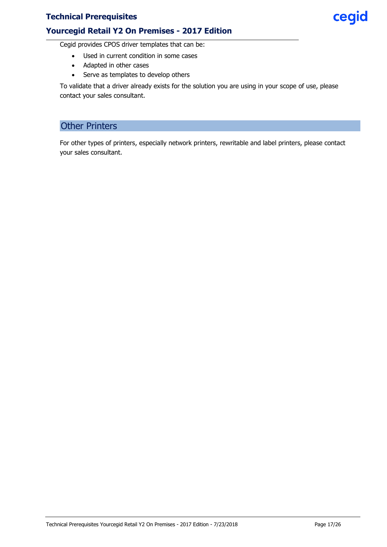#### **Yourcegid Retail Y2 On Premises - 2017 Edition**

Cegid provides CPOS driver templates that can be:

- Used in current condition in some cases
	- Adapted in other cases
- Serve as templates to develop others

<span id="page-16-0"></span>To validate that a driver already exists for the solution you are using in your scope of use, please contact your sales consultant.

# Other Printers

For other types of printers, especially network printers, rewritable and label printers, please contact your sales consultant.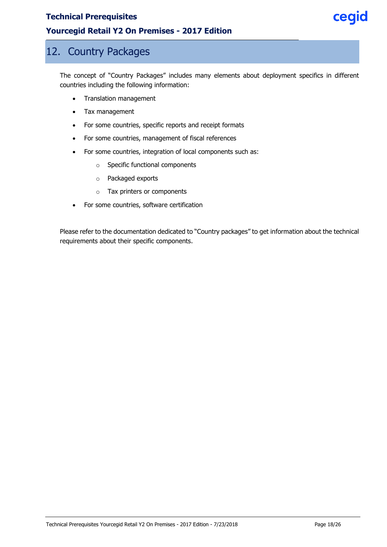#### **Yourcegid Retail Y2 On Premises - 2017 Edition**

# <span id="page-17-0"></span>12. Country Packages

The concept of "Country Packages" includes many elements about deployment specifics in different countries including the following information:

- Translation management
- Tax management
- For some countries, specific reports and receipt formats
- For some countries, management of fiscal references
- For some countries, integration of local components such as:
	- o Specific functional components
	- o Packaged exports
	- o Tax printers or components
- For some countries, software certification

Please refer to the documentation dedicated to "Country packages" to get information about the technical requirements about their specific components.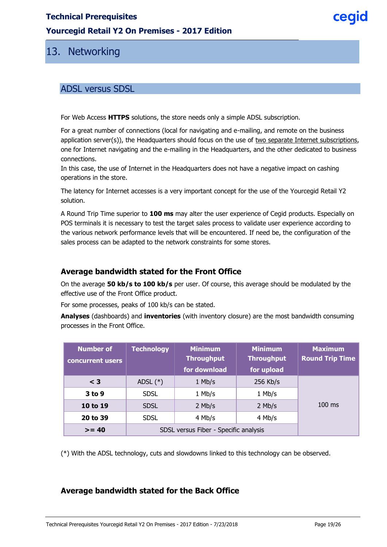#### **Yourcegid Retail Y2 On Premises - 2017 Edition**

# <span id="page-18-0"></span>13. Networking

## <span id="page-18-1"></span>ADSL versus SDSL

For Web Access **HTTPS** solutions, the store needs only a simple ADSL subscription.

For a great number of connections (local for navigating and e-mailing, and remote on the business application server(s)), the Headquarters should focus on the use of two separate Internet subscriptions, one for Internet navigating and the e-mailing in the Headquarters, and the other dedicated to business connections.

In this case, the use of Internet in the Headquarters does not have a negative impact on cashing operations in the store.

The latency for Internet accesses is a very important concept for the use of the Yourcegid Retail Y2 solution.

A Round Trip Time superior to **100 ms** may alter the user experience of Cegid products. Especially on POS terminals it is necessary to test the target sales process to validate user experience according to the various network performance levels that will be encountered. If need be, the configuration of the sales process can be adapted to the network constraints for some stores.

#### <span id="page-18-2"></span>**Average bandwidth stated for the Front Office**

On the average **50 kb/s to 100 kb/s** per user. Of course, this average should be modulated by the effective use of the Front Office product.

For some processes, peaks of 100 kb/s can be stated.

**Analyses** (dashboards) and **inventories** (with inventory closure) are the most bandwidth consuming processes in the Front Office.

| <b>Number of</b><br>concurrent users | <b>Technology</b>                     | <b>Minimum</b><br><b>Throughput</b><br>for download | <b>Minimum</b><br><b>Throughput</b><br>for upload | <b>Maximum</b><br><b>Round Trip Time</b> |
|--------------------------------------|---------------------------------------|-----------------------------------------------------|---------------------------------------------------|------------------------------------------|
| $<$ 3                                | ADSL $(*)$                            | $1$ Mb/s                                            | 256 Kb/s                                          |                                          |
| $3$ to 9                             | <b>SDSL</b>                           | $1$ Mb/s                                            | $1$ Mb/s                                          |                                          |
| 10 to 19                             | <b>SDSL</b>                           | $2$ Mb/s                                            | $2$ Mb/s                                          | $100$ ms                                 |
| 20 to 39                             | <b>SDSL</b>                           | 4 Mb/s                                              | 4 Mb/s                                            |                                          |
| $>= 40$                              | SDSL versus Fiber - Specific analysis |                                                     |                                                   |                                          |

<span id="page-18-3"></span>(\*) With the ADSL technology, cuts and slowdowns linked to this technology can be observed.

### **Average bandwidth stated for the Back Office**

ceaid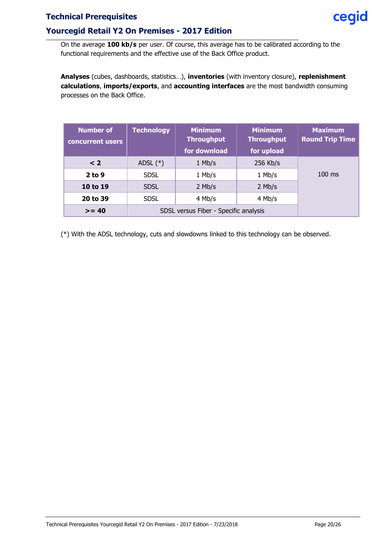#### **Yourcegid Retail Y2 On Premises - 2017 Edition**

**Analyses** (cubes, dashboards, statistics…), **inventories** (with inventory closure), **replenishment calculations**, **imports/exports**, and **accounting interfaces** are the most bandwidth consuming processes on the Back Office.

| <b>Number of</b><br>concurrent users | <b>Technology</b>                     | <b>Minimum</b><br><b>Throughput</b><br>for download | <b>Minimum</b><br><b>Throughput</b><br>for upload | <b>Maximum</b><br><b>Round Trip Time</b> |
|--------------------------------------|---------------------------------------|-----------------------------------------------------|---------------------------------------------------|------------------------------------------|
| $\leq 2$                             | ADSL $(*)$                            | $1$ Mb/s                                            | 256 Kb/s                                          |                                          |
| $2$ to 9                             | <b>SDSL</b>                           | 1 Mb/s                                              | 1 Mb/s                                            | $100$ ms                                 |
| 10 to 19                             | <b>SDSL</b>                           | $2$ Mb/s                                            | $2$ Mb/s                                          |                                          |
| 20 to 39                             | <b>SDSL</b>                           | 4 Mb/s                                              | 4 Mb/s                                            |                                          |
| $>= 40$                              | SDSL versus Fiber - Specific analysis |                                                     |                                                   |                                          |

(\*) With the ADSL technology, cuts and slowdowns linked to this technology can be observed.

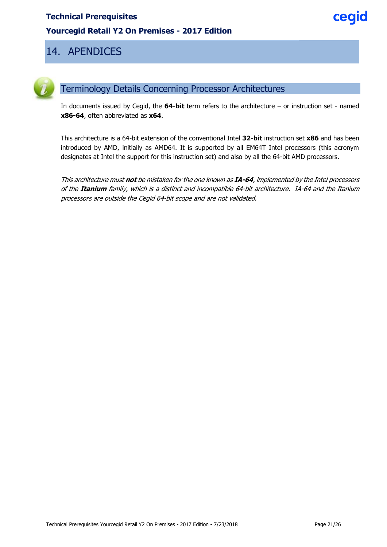# <span id="page-20-0"></span>14. APENDICES



# <span id="page-20-1"></span>Terminology Details Concerning Processor Architectures

In documents issued by Cegid, the **64-bit** term refers to the architecture – or instruction set - named **x86-64**, often abbreviated as **x64**.

This architecture is a 64-bit extension of the conventional Intel **32-bit** instruction set **x86** and has been introduced by AMD, initially as AMD64. It is supported by all EM64T Intel processors (this acronym designates at Intel the support for this instruction set) and also by all the 64-bit AMD processors.

This architecture must **not** be mistaken for the one known as **IA-64**, implemented by the Intel processors of the **Itanium** family, which is a distinct and incompatible 64-bit architecture. IA-64 and the Itanium processors are outside the Cegid 64-bit scope and are not validated.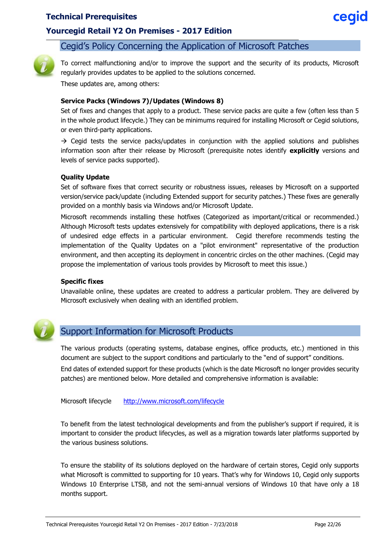#### **Yourcegid Retail Y2 On Premises - 2017 Edition**

#### <span id="page-21-0"></span>Cegid's Policy Concerning the Application of Microsoft Patches



To correct malfunctioning and/or to improve the support and the security of its products, Microsoft regularly provides updates to be applied to the solutions concerned.

These updates are, among others:

#### **Service Packs (Windows 7)/Updates (Windows 8)**

Set of fixes and changes that apply to a product. These service packs are quite a few (often less than 5 in the whole product lifecycle.) They can be minimums required for installing Microsoft or Cegid solutions, or even third-party applications.

 $\rightarrow$  Cegid tests the service packs/updates in conjunction with the applied solutions and publishes information soon after their release by Microsoft (prerequisite notes identify **explicitly** versions and levels of service packs supported).

#### **Quality Update**

Set of software fixes that correct security or robustness issues, releases by Microsoft on a supported version/service pack/update (including Extended support for security patches.) These fixes are generally provided on a monthly basis via Windows and/or Microsoft Update.

Microsoft recommends installing these hotfixes (Categorized as important/critical or recommended.) Although Microsoft tests updates extensively for compatibility with deployed applications, there is a risk of undesired edge effects in a particular environment. Cegid therefore recommends testing the implementation of the Quality Updates on a "pilot environment" representative of the production environment, and then accepting its deployment in concentric circles on the other machines. (Cegid may propose the implementation of various tools provides by Microsoft to meet this issue.)

#### **Specific fixes**

<span id="page-21-1"></span>Unavailable online, these updates are created to address a particular problem. They are delivered by Microsoft exclusively when dealing with an identified problem.



## Support Information for Microsoft Products

The various products (operating systems, database engines, office products, etc.) mentioned in this document are subject to the support conditions and particularly to the "end of support" conditions.

End dates of extended support for these products (which is the date Microsoft no longer provides security patches) are mentioned below. More detailed and comprehensive information is available:

Microsoft lifecycle <http://www.microsoft.com/lifecycle>

To benefit from the latest technological developments and from the publisher's support if required, it is important to consider the product lifecycles, as well as a migration towards later platforms supported by the various business solutions.

To ensure the stability of its solutions deployed on the hardware of certain stores, Cegid only supports what Microsoft is committed to supporting for 10 years. That's why for Windows 10, Cegid only supports Windows 10 Enterprise LTSB, and not the semi-annual versions of Windows 10 that have only a 18 months support.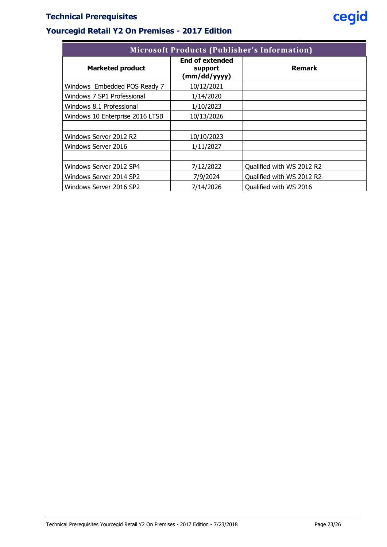# **Yourcegid Retail Y2 On Premises - 2017 Edition**

| <b>Microsoft Products (Publisher's Information)</b> |                                                   |                           |  |  |  |  |
|-----------------------------------------------------|---------------------------------------------------|---------------------------|--|--|--|--|
| <b>Marketed product</b>                             | <b>End of extended</b><br>support<br>(mm/dd/yyyy) | <b>Remark</b>             |  |  |  |  |
| Windows Embedded POS Ready 7                        | 10/12/2021                                        |                           |  |  |  |  |
| Windows 7 SP1 Professional                          | 1/14/2020                                         |                           |  |  |  |  |
| Windows 8.1 Professional                            | 1/10/2023                                         |                           |  |  |  |  |
| Windows 10 Enterprise 2016 LTSB                     | 10/13/2026                                        |                           |  |  |  |  |
|                                                     |                                                   |                           |  |  |  |  |
| Windows Server 2012 R2                              | 10/10/2023                                        |                           |  |  |  |  |
| Windows Server 2016                                 | 1/11/2027                                         |                           |  |  |  |  |
|                                                     |                                                   |                           |  |  |  |  |
| Windows Server 2012 SP4                             | 7/12/2022                                         | Qualified with WS 2012 R2 |  |  |  |  |
| Windows Server 2014 SP2                             | 7/9/2024                                          | Qualified with WS 2012 R2 |  |  |  |  |
| Windows Server 2016 SP2                             | 7/14/2026                                         | Oualified with WS 2016    |  |  |  |  |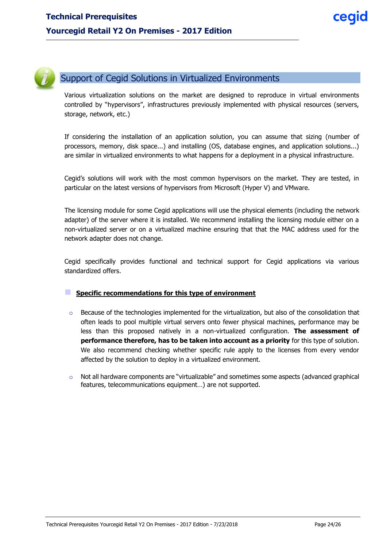

# <span id="page-23-0"></span>Support of Cegid Solutions in Virtualized Environments

Various virtualization solutions on the market are designed to reproduce in virtual environments controlled by "hypervisors", infrastructures previously implemented with physical resources (servers, storage, network, etc.)

If considering the installation of an application solution, you can assume that sizing (number of processors, memory, disk space...) and installing (OS, database engines, and application solutions...) are similar in virtualized environments to what happens for a deployment in a physical infrastructure.

Cegid's solutions will work with the most common hypervisors on the market. They are tested, in particular on the latest versions of hypervisors from Microsoft (Hyper V) and VMware.

The licensing module for some Cegid applications will use the physical elements (including the network adapter) of the server where it is installed. We recommend installing the licensing module either on a non-virtualized server or on a virtualized machine ensuring that that the MAC address used for the network adapter does not change.

Cegid specifically provides functional and technical support for Cegid applications via various standardized offers.

#### **Specific recommendations for this type of environment**

- $\circ$  Because of the technologies implemented for the virtualization, but also of the consolidation that often leads to pool multiple virtual servers onto fewer physical machines, performance may be less than this proposed natively in a non-virtualized configuration. **The assessment of performance therefore, has to be taken into account as a priority** for this type of solution. We also recommend checking whether specific rule apply to the licenses from every vendor affected by the solution to deploy in a virtualized environment.
- $\circ$  Not all hardware components are "virtualizable" and sometimes some aspects (advanced graphical features, telecommunications equipment…) are not supported.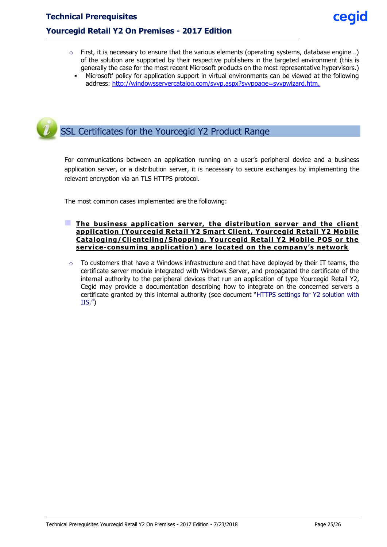- $\circ$  First, it is necessary to ensure that the various elements (operating systems, database engine...) of the solution are supported by their respective publishers in the targeted environment (this is generally the case for the most recent Microsoft products on the most representative hypervisors.)
	- Microsoft' policy for application support in virtual environments can be viewed at the following address: [http://windowsservercatalog.com/svvp.aspx?svvppage=svvpwizard.htm.](http://windowsservercatalog.com/svvp.aspx?svvppage=svvpwizard.htm)

<span id="page-24-0"></span>

For communications between an application running on a user's peripheral device and a business application server, or a distribution server, it is necessary to secure exchanges by implementing the relevant encryption via an TLS HTTPS protocol.

The most common cases implemented are the following:

- **The business application server, the distribution server and the client application (Yourcegid Retail Y2 Smart Client, Yourcegid Retail Y2 Mobile Cataloging/Clienteling/Shopping, Yourcegid Retail Y2 Mobile POS or the service-consuming application) are located on the company's network**
- $\circ$  To customers that have a Windows infrastructure and that have deployed by their IT teams, the certificate server module integrated with Windows Server, and propagated the certificate of the internal authority to the peripheral devices that run an application of type Yourcegid Retail Y2, Cegid may provide a documentation describing how to integrate on the concerned servers a certificate granted by this internal authority (see document "HTTPS settings for Y2 solution with IIS.")